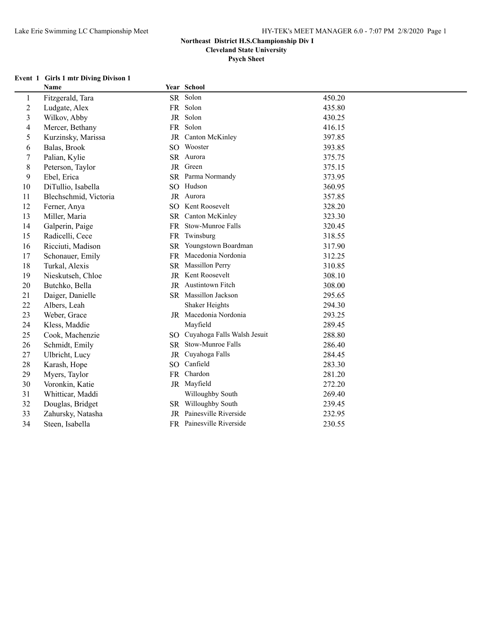$\overline{a}$ 

# **Northeast District H.S.Championship Div I**

**Cleveland State University**

**Psych Sheet**

#### **Event 1 Girls 1 mtr Diving Divison 1**

|                         | Name                  |           | Year School                    |        |
|-------------------------|-----------------------|-----------|--------------------------------|--------|
| $\mathbf{1}$            | Fitzgerald, Tara      |           | SR Solon                       | 450.20 |
| $\overline{\mathbf{c}}$ | Ludgate, Alex         |           | FR Solon                       | 435.80 |
| 3                       | Wilkov, Abby          |           | JR Solon                       | 430.25 |
| 4                       | Mercer, Bethany       |           | FR Solon                       | 416.15 |
| 5                       | Kurzinsky, Marissa    | <b>JR</b> | Canton McKinley                | 397.85 |
| 6                       | Balas, Brook          |           | SO Wooster                     | 393.85 |
| 7                       | Palian, Kylie         |           | SR Aurora                      | 375.75 |
| 8                       | Peterson, Taylor      |           | JR Green                       | 375.15 |
| 9                       | Ebel, Erica           |           | SR Parma Normandy              | 373.95 |
| 10                      | DiTullio, Isabella    |           | SO Hudson                      | 360.95 |
| 11                      | Blechschmid, Victoria |           | JR Aurora                      | 357.85 |
| 12                      | Ferner, Anya          |           | SO Kent Roosevelt              | 328.20 |
| 13                      | Miller, Maria         |           | SR Canton McKinley             | 323.30 |
| 14                      | Galperin, Paige       |           | FR Stow-Munroe Falls           | 320.45 |
| 15                      | Radicelli, Cece       |           | FR Twinsburg                   | 318.55 |
| 16                      | Ricciuti, Madison     |           | SR Youngstown Boardman         | 317.90 |
| 17                      | Schonauer, Emily      |           | FR Macedonia Nordonia          | 312.25 |
| 18                      | Turkal, Alexis        |           | SR Massillon Perry             | 310.85 |
| 19                      | Nieskutseh, Chloe     |           | JR Kent Roosevelt              | 308.10 |
| 20                      | Butchko, Bella        |           | JR Austintown Fitch            | 308.00 |
| 21                      | Daiger, Danielle      |           | SR Massillon Jackson           | 295.65 |
| 22                      | Albers, Leah          |           | Shaker Heights                 | 294.30 |
| 23                      | Weber, Grace          |           | JR Macedonia Nordonia          | 293.25 |
| 24                      | Kless, Maddie         |           | Mayfield                       | 289.45 |
| 25                      | Cook, Machenzie       |           | SO Cuyahoga Falls Walsh Jesuit | 288.80 |
| 26                      | Schmidt, Emily        |           | SR Stow-Munroe Falls           | 286.40 |
| 27                      | Ulbricht, Lucy        | JR        | Cuyahoga Falls                 | 284.45 |
| 28                      | Karash, Hope          |           | SO Canfield                    | 283.30 |
| 29                      | Myers, Taylor         |           | FR Chardon                     | 281.20 |
| 30                      | Voronkin, Katie       |           | JR Mayfield                    | 272.20 |
| 31                      | Whitticar, Maddi      |           | Willoughby South               | 269.40 |
| 32                      | Douglas, Bridget      |           | SR Willoughby South            | 239.45 |
| 33                      | Zahursky, Natasha     |           | JR Painesville Riverside       | 232.95 |
| 34                      | Steen, Isabella       |           | FR Painesville Riverside       | 230.55 |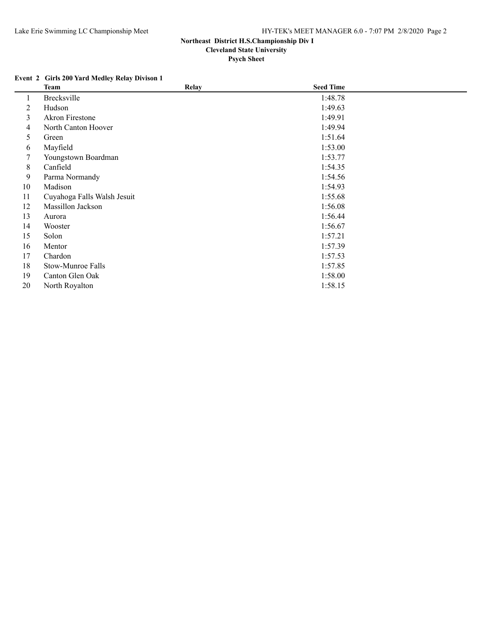## **Event 2 Girls 200 Yard Medley Relay Divison 1**

|    | <b>Team</b>                 | <b>Relay</b> | <b>Seed Time</b> |  |
|----|-----------------------------|--------------|------------------|--|
| 1  | <b>Brecksville</b>          |              | 1:48.78          |  |
| 2  | Hudson                      |              | 1:49.63          |  |
| 3  | <b>Akron Firestone</b>      |              | 1:49.91          |  |
| 4  | North Canton Hoover         |              | 1:49.94          |  |
| 5  | Green                       |              | 1:51.64          |  |
| 6  | Mayfield                    |              | 1:53.00          |  |
| 7  | Youngstown Boardman         |              | 1:53.77          |  |
| 8  | Canfield                    |              | 1:54.35          |  |
| 9  | Parma Normandy              |              | 1:54.56          |  |
| 10 | Madison                     |              | 1:54.93          |  |
| 11 | Cuyahoga Falls Walsh Jesuit |              | 1:55.68          |  |
| 12 | Massillon Jackson           |              | 1:56.08          |  |
| 13 | Aurora                      |              | 1:56.44          |  |
| 14 | Wooster                     |              | 1:56.67          |  |
| 15 | Solon                       |              | 1:57.21          |  |
| 16 | Mentor                      |              | 1:57.39          |  |
| 17 | Chardon                     |              | 1:57.53          |  |
| 18 | Stow-Munroe Falls           |              | 1:57.85          |  |
| 19 | Canton Glen Oak             |              | 1:58.00          |  |
| 20 | North Royalton              |              | 1:58.15          |  |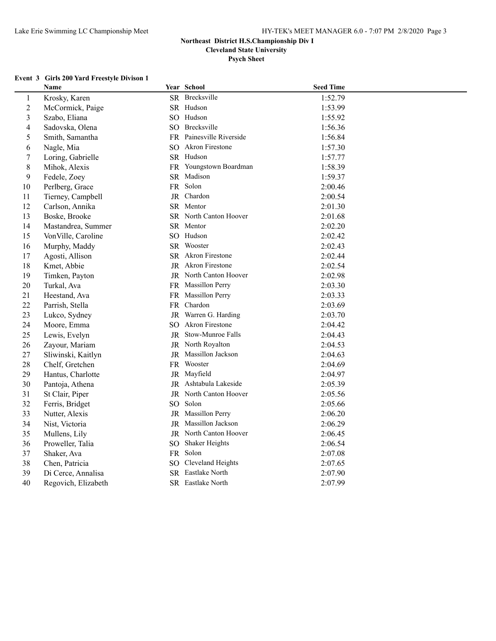**Psych Sheet**

#### **Event 3 Girls 200 Yard Freestyle Divison 1**

|                         | Name                |     | Year School              | <b>Seed Time</b> |  |
|-------------------------|---------------------|-----|--------------------------|------------------|--|
| $\mathbf{1}$            | Krosky, Karen       |     | SR Brecksville           | 1:52.79          |  |
| $\overline{2}$          | McCormick, Paige    |     | SR Hudson                | 1:53.99          |  |
| $\overline{\mathbf{3}}$ | Szabo, Eliana       |     | SO Hudson                | 1:55.92          |  |
| 4                       | Sadovska, Olena     |     | SO Brecksville           | 1:56.36          |  |
| 5                       | Smith, Samantha     |     | FR Painesville Riverside | 1:56.84          |  |
| 6                       | Nagle, Mia          |     | SO Akron Firestone       | 1:57.30          |  |
| $\boldsymbol{7}$        | Loring, Gabrielle   |     | SR Hudson                | 1:57.77          |  |
| 8                       | Mihok, Alexis       |     | FR Youngstown Boardman   | 1:58.39          |  |
| 9                       | Fedele, Zoey        |     | SR Madison               | 1:59.37          |  |
| 10                      | Perlberg, Grace     |     | FR Solon                 | 2:00.46          |  |
| 11                      | Tierney, Campbell   |     | JR Chardon               | 2:00.54          |  |
| 12                      | Carlson, Annika     |     | SR Mentor                | 2:01.30          |  |
| 13                      | Boske, Brooke       |     | SR North Canton Hoover   | 2:01.68          |  |
| 14                      | Mastandrea, Summer  |     | SR Mentor                | 2:02.20          |  |
| 15                      | VonVille, Caroline  |     | SO Hudson                | 2:02.42          |  |
| 16                      | Murphy, Maddy       |     | SR Wooster               | 2:02.43          |  |
| $17$                    | Agosti, Allison     |     | SR Akron Firestone       | 2:02.44          |  |
| 18                      | Kmet, Abbie         |     | JR Akron Firestone       | 2:02.54          |  |
| 19                      | Timken, Payton      |     | JR North Canton Hoover   | 2:02.98          |  |
| 20                      | Turkal, Ava         |     | FR Massillon Perry       | 2:03.30          |  |
| 21                      | Heestand, Ava       |     | FR Massillon Perry       | 2:03.33          |  |
| 22                      | Parrish, Stella     |     | FR Chardon               | 2:03.69          |  |
| 23                      | Lukco, Sydney       |     | JR Warren G. Harding     | 2:03.70          |  |
| 24                      | Moore, Emma         |     | SO Akron Firestone       | 2:04.42          |  |
| 25                      | Lewis, Evelyn       |     | JR Stow-Munroe Falls     | 2:04.43          |  |
| 26                      | Zayour, Mariam      |     | JR North Royalton        | 2:04.53          |  |
| 27                      | Sliwinski, Kaitlyn  |     | JR Massillon Jackson     | 2:04.63          |  |
| 28                      | Chelf, Gretchen     |     | FR Wooster               | 2:04.69          |  |
| 29                      | Hantus, Charlotte   |     | JR Mayfield              | 2:04.97          |  |
| 30                      | Pantoja, Athena     |     | JR Ashtabula Lakeside    | 2:05.39          |  |
| 31                      | St Clair, Piper     |     | JR North Canton Hoover   | 2:05.56          |  |
| 32                      | Ferris, Bridget     |     | SO Solon                 | 2:05.66          |  |
| 33                      | Nutter, Alexis      |     | JR Massillon Perry       | 2:06.20          |  |
| 34                      | Nist, Victoria      |     | JR Massillon Jackson     | 2:06.29          |  |
| 35                      | Mullens, Lily       |     | JR North Canton Hoover   | 2:06.45          |  |
| 36                      | Proweller, Talia    |     | SO Shaker Heights        | 2:06.54          |  |
| 37                      | Shaker, Ava         |     | FR Solon                 | 2:07.08          |  |
| 38                      | Chen, Patricia      | SO. | Cleveland Heights        | 2:07.65          |  |
| 39                      | Di Cerce, Annalisa  |     | SR Eastlake North        | 2:07.90          |  |
| 40                      | Regovich, Elizabeth |     | SR Eastlake North        | 2:07.99          |  |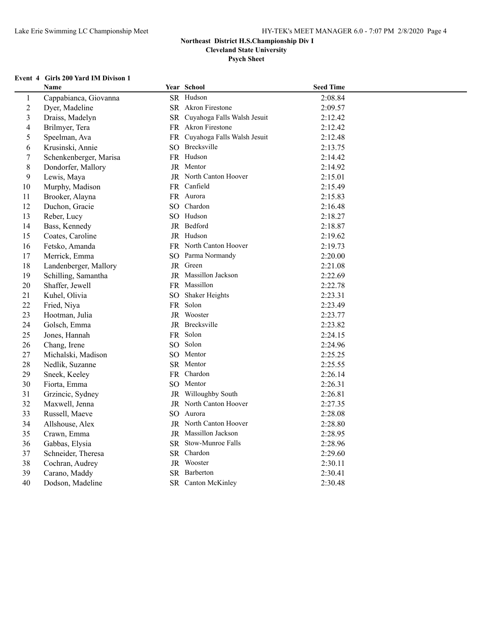**Psych Sheet**

#### **Event 4 Girls 200 Yard IM Divison 1**

|                | Name                   |                 | Year School                    | <b>Seed Time</b> |  |
|----------------|------------------------|-----------------|--------------------------------|------------------|--|
| $\mathbf{1}$   | Cappabianca, Giovanna  |                 | SR Hudson                      | 2:08.84          |  |
| $\overline{c}$ | Dyer, Madeline         |                 | SR Akron Firestone             | 2:09.57          |  |
| 3              | Draiss, Madelyn        |                 | SR Cuyahoga Falls Walsh Jesuit | 2:12.42          |  |
| $\overline{4}$ | Brilmyer, Tera         |                 | FR Akron Firestone             | 2:12.42          |  |
| 5              | Speelman, Ava          |                 | FR Cuyahoga Falls Walsh Jesuit | 2:12.48          |  |
| 6              | Krusinski, Annie       |                 | SO Brecksville                 | 2:13.75          |  |
| 7              | Schenkenberger, Marisa |                 | FR Hudson                      | 2:14.42          |  |
| 8              | Dondorfer, Mallory     |                 | JR Mentor                      | 2:14.92          |  |
| 9              | Lewis, Maya            |                 | <b>JR</b> North Canton Hoover  | 2:15.01          |  |
| 10             | Murphy, Madison        |                 | FR Canfield                    | 2:15.49          |  |
| 11             | Brooker, Alayna        |                 | FR Aurora                      | 2:15.83          |  |
| 12             | Duchon, Gracie         |                 | SO Chardon                     | 2:16.48          |  |
| 13             | Reber, Lucy            |                 | SO Hudson                      | 2:18.27          |  |
| 14             | Bass, Kennedy          |                 | JR Bedford                     | 2:18.87          |  |
| 15             | Coates, Caroline       |                 | JR Hudson                      | 2:19.62          |  |
| 16             | Fetsko, Amanda         |                 | FR North Canton Hoover         | 2:19.73          |  |
| 17             | Merrick, Emma          |                 | SO Parma Normandy              | 2:20.00          |  |
| 18             | Landenberger, Mallory  |                 | JR Green                       | 2:21.08          |  |
| 19             | Schilling, Samantha    |                 | JR Massillon Jackson           | 2:22.69          |  |
| 20             | Shaffer, Jewell        |                 | FR Massillon                   | 2:22.78          |  |
| 21             | Kuhel, Olivia          | SO <sub>1</sub> | Shaker Heights                 | 2:23.31          |  |
| 22             | Fried, Niya            |                 | FR Solon                       | 2:23.49          |  |
| 23             | Hootman, Julia         |                 | JR Wooster                     | 2:23.77          |  |
| 24             | Golsch, Emma           |                 | JR Brecksville                 | 2:23.82          |  |
| 25             | Jones, Hannah          |                 | FR Solon                       | 2:24.15          |  |
| 26             | Chang, Irene           |                 | SO Solon                       | 2:24.96          |  |
| 27             | Michalski, Madison     |                 | SO Mentor                      | 2:25.25          |  |
| 28             | Nedlik, Suzanne        |                 | SR Mentor                      | 2:25.55          |  |
| 29             | Sneek, Keeley          |                 | FR Chardon                     | 2:26.14          |  |
| 30             | Fiorta, Emma           |                 | SO Mentor                      | 2:26.31          |  |
| 31             | Grzincic, Sydney       |                 | JR Willoughby South            | 2:26.81          |  |
| 32             | Maxwell, Jenna         |                 | JR North Canton Hoover         | 2:27.35          |  |
| 33             | Russell, Maeve         |                 | SO Aurora                      | 2:28.08          |  |
| 34             | Allshouse, Alex        |                 | JR North Canton Hoover         | 2:28.80          |  |
| 35             | Crawn, Emma            |                 | JR Massillon Jackson           | 2:28.95          |  |
| 36             | Gabbas, Elysia         |                 | SR Stow-Munroe Falls           | 2:28.96          |  |
| 37             | Schneider, Theresa     |                 | SR Chardon                     | 2:29.60          |  |
| 38             | Cochran, Audrey        |                 | JR Wooster                     | 2:30.11          |  |
| 39             | Carano, Maddy          |                 | SR Barberton                   | 2:30.41          |  |
| 40             | Dodson, Madeline       |                 | SR Canton McKinley             | 2:30.48          |  |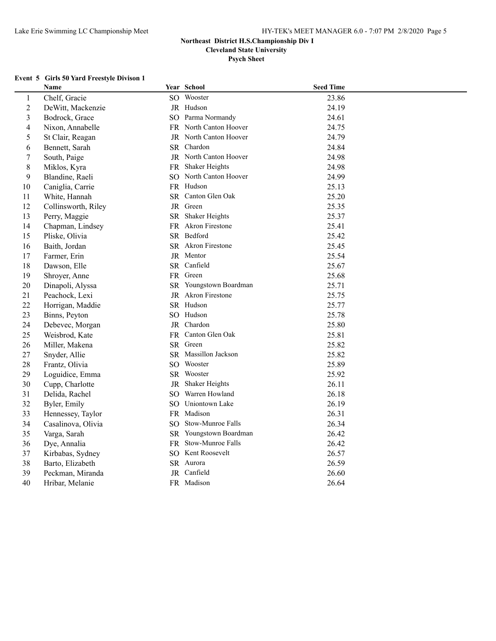**Cleveland State University**

**Psych Sheet**

#### **Event 5 Girls 50 Yard Freestyle Divison 1**

|                  | Name                |                 | Year School            | <b>Seed Time</b> |
|------------------|---------------------|-----------------|------------------------|------------------|
| $\mathbf{1}$     | Chelf, Gracie       |                 | SO Wooster             | 23.86            |
| $\boldsymbol{2}$ | DeWitt, Mackenzie   |                 | JR Hudson              | 24.19            |
| $\mathfrak{Z}$   | Bodrock, Grace      |                 | SO Parma Normandy      | 24.61            |
| $\overline{4}$   | Nixon, Annabelle    |                 | FR North Canton Hoover | 24.75            |
| 5                | St Clair, Reagan    |                 | JR North Canton Hoover | 24.79            |
| 6                | Bennett, Sarah      |                 | SR Chardon             | 24.84            |
| $\tau$           | South, Paige        |                 | JR North Canton Hoover | 24.98            |
| 8                | Miklos, Kyra        |                 | FR Shaker Heights      | 24.98            |
| 9                | Blandine, Raeli     |                 | SO North Canton Hoover | 24.99            |
| 10               | Caniglia, Carrie    |                 | FR Hudson              | 25.13            |
| 11               | White, Hannah       |                 | SR Canton Glen Oak     | 25.20            |
| 12               | Collinsworth, Riley |                 | JR Green               | 25.35            |
| 13               | Perry, Maggie       |                 | SR Shaker Heights      | 25.37            |
| 14               | Chapman, Lindsey    |                 | FR Akron Firestone     | 25.41            |
| 15               | Pliske, Olivia      |                 | SR Bedford             | 25.42            |
| 16               | Baith, Jordan       |                 | SR Akron Firestone     | 25.45            |
| 17               | Farmer, Erin        |                 | JR Mentor              | 25.54            |
| 18               | Dawson, Elle        |                 | SR Canfield            | 25.67            |
| 19               | Shroyer, Anne       |                 | FR Green               | 25.68            |
| 20               | Dinapoli, Alyssa    |                 | SR Youngstown Boardman | 25.71            |
| 21               | Peachock, Lexi      |                 | JR Akron Firestone     | 25.75            |
| 22               | Horrigan, Maddie    |                 | SR Hudson              | 25.77            |
| 23               | Binns, Peyton       |                 | SO Hudson              | 25.78            |
| 24               | Debevec, Morgan     |                 | JR Chardon             | 25.80            |
| 25               | Weisbrod, Kate      |                 | FR Canton Glen Oak     | 25.81            |
| 26               | Miller, Makena      |                 | SR Green               | 25.82            |
| 27               | Snyder, Allie       |                 | SR Massillon Jackson   | 25.82            |
| 28               | Frantz, Olivia      |                 | SO Wooster             | 25.89            |
| 29               | Loguidice, Emma     |                 | SR Wooster             | 25.92            |
| 30               | Cupp, Charlotte     | JR              | Shaker Heights         | 26.11            |
| 31               | Delida, Rachel      | $SO_{\odot}$    | Warren Howland         | 26.18            |
| 32               | Byler, Emily        |                 | SO Uniontown Lake      | 26.19            |
| 33               | Hennessey, Taylor   |                 | FR Madison             | 26.31            |
| 34               | Casalinova, Olivia  | SO <sub>2</sub> | Stow-Munroe Falls      | 26.34            |
| 35               | Varga, Sarah        |                 | SR Youngstown Boardman | 26.42            |
| 36               | Dye, Annalia        | <b>FR</b>       | Stow-Munroe Falls      | 26.42            |
| 37               | Kirbabas, Sydney    |                 | SO Kent Roosevelt      | 26.57            |
| 38               | Barto, Elizabeth    |                 | SR Aurora              | 26.59            |
| 39               | Peckman, Miranda    |                 | JR Canfield            | 26.60            |
| 40               | Hribar, Melanie     |                 | FR Madison             | 26.64            |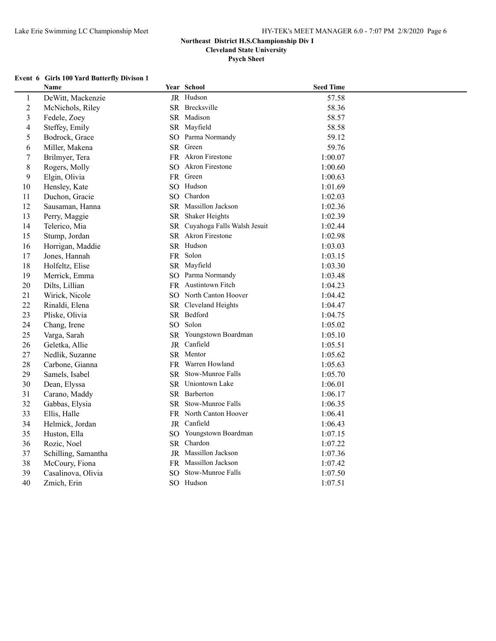**Cleveland State University**

**Psych Sheet**

#### **Event 6 Girls 100 Yard Butterfly Divison 1**

|                         | Name                |    | Year School                    | <b>Seed Time</b> |  |
|-------------------------|---------------------|----|--------------------------------|------------------|--|
| $\mathbf{1}$            | DeWitt, Mackenzie   |    | JR Hudson                      | 57.58            |  |
| $\overline{2}$          | McNichols, Riley    |    | SR Brecksville                 | 58.36            |  |
| $\overline{\mathbf{3}}$ | Fedele, Zoey        |    | SR Madison                     | 58.57            |  |
| $\overline{4}$          | Steffey, Emily      |    | SR Mayfield                    | 58.58            |  |
| 5                       | Bodrock, Grace      |    | SO Parma Normandy              | 59.12            |  |
| 6                       | Miller, Makena      |    | SR Green                       | 59.76            |  |
| $\boldsymbol{7}$        | Brilmyer, Tera      |    | FR Akron Firestone             | 1:00.07          |  |
| 8                       | Rogers, Molly       |    | SO Akron Firestone             | 1:00.60          |  |
| 9                       | Elgin, Olivia       |    | FR Green                       | 1:00.63          |  |
| 10                      | Hensley, Kate       |    | SO Hudson                      | 1:01.69          |  |
| 11                      | Duchon, Gracie      |    | SO Chardon                     | 1:02.03          |  |
| 12                      | Sausaman, Hanna     |    | SR Massillon Jackson           | 1:02.36          |  |
| 13                      | Perry, Maggie       |    | SR Shaker Heights              | 1:02.39          |  |
| 14                      | Telerico, Mia       |    | SR Cuyahoga Falls Walsh Jesuit | 1:02.44          |  |
| 15                      | Stump, Jordan       |    | SR Akron Firestone             | 1:02.98          |  |
| 16                      | Horrigan, Maddie    |    | SR Hudson                      | 1:03.03          |  |
| 17                      | Jones, Hannah       |    | FR Solon                       | 1:03.15          |  |
| 18                      | Holfeltz, Elise     |    | SR Mayfield                    | 1:03.30          |  |
| 19                      | Merrick, Emma       |    | SO Parma Normandy              | 1:03.48          |  |
| 20                      | Dilts, Lillian      |    | FR Austintown Fitch            | 1:04.23          |  |
| 21                      | Wirick, Nicole      |    | SO North Canton Hoover         | 1:04.42          |  |
| 22                      | Rinaldi, Elena      |    | SR Cleveland Heights           | 1:04.47          |  |
| 23                      | Pliske, Olivia      |    | SR Bedford                     | 1:04.75          |  |
| 24                      | Chang, Irene        |    | SO Solon                       | 1:05.02          |  |
| 25                      | Varga, Sarah        |    | SR Youngstown Boardman         | 1:05.10          |  |
| 26                      | Geletka, Allie      |    | JR Canfield                    | 1:05.51          |  |
| 27                      | Nedlik, Suzanne     |    | SR Mentor                      | 1:05.62          |  |
| 28                      | Carbone, Gianna     |    | FR Warren Howland              | 1:05.63          |  |
| 29                      | Samels, Isabel      |    | SR Stow-Munroe Falls           | 1:05.70          |  |
| 30                      | Dean, Elyssa        |    | SR Uniontown Lake              | 1:06.01          |  |
| 31                      | Carano, Maddy       |    | SR Barberton                   | 1:06.17          |  |
| 32                      | Gabbas, Elysia      |    | SR Stow-Munroe Falls           | 1:06.35          |  |
| 33                      | Ellis, Halle        |    | FR North Canton Hoover         | 1:06.41          |  |
| 34                      | Helmick, Jordan     |    | JR Canfield                    | 1:06.43          |  |
| 35                      | Huston, Ella        |    | SO Youngstown Boardman         | 1:07.15          |  |
| 36                      | Rozic, Noel         |    | SR Chardon                     | 1:07.22          |  |
| 37                      | Schilling, Samantha |    | JR Massillon Jackson           | 1:07.36          |  |
| 38                      | McCoury, Fiona      |    | FR Massillon Jackson           | 1:07.42          |  |
| 39                      | Casalinova, Olivia  | SO | Stow-Munroe Falls              | 1:07.50          |  |
| 40                      | Zmich, Erin         |    | SO Hudson                      | 1:07.51          |  |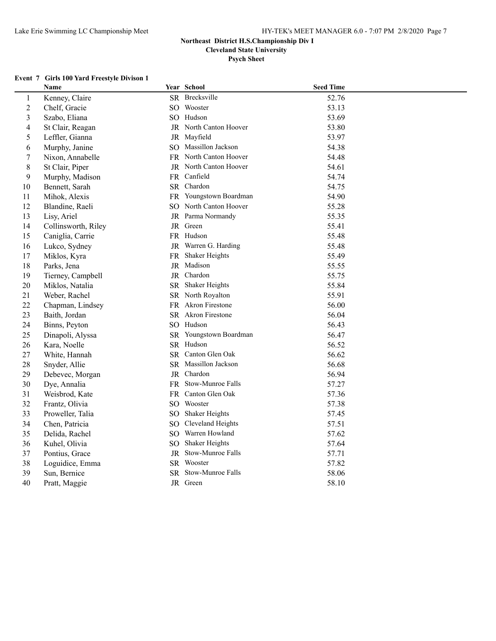**Cleveland State University**

**Psych Sheet**

#### **Event 7 Girls 100 Yard Freestyle Divison 1**

|                | Name                |                 | Year School                   | <b>Seed Time</b> |  |
|----------------|---------------------|-----------------|-------------------------------|------------------|--|
| $\mathbf{1}$   | Kenney, Claire      |                 | SR Brecksville                | 52.76            |  |
| $\sqrt{2}$     | Chelf, Gracie       |                 | SO Wooster                    | 53.13            |  |
| 3              | Szabo, Eliana       |                 | SO Hudson                     | 53.69            |  |
| 4              | St Clair, Reagan    |                 | <b>JR</b> North Canton Hoover | 53.80            |  |
| 5              | Leffler, Gianna     |                 | JR Mayfield                   | 53.97            |  |
| 6              | Murphy, Janine      |                 | SO Massillon Jackson          | 54.38            |  |
| $\overline{7}$ | Nixon, Annabelle    |                 | FR North Canton Hoover        | 54.48            |  |
| 8              | St Clair, Piper     |                 | JR North Canton Hoover        | 54.61            |  |
| 9              | Murphy, Madison     |                 | FR Canfield                   | 54.74            |  |
| 10             | Bennett, Sarah      |                 | SR Chardon                    | 54.75            |  |
| 11             | Mihok, Alexis       |                 | FR Youngstown Boardman        | 54.90            |  |
| 12             | Blandine, Raeli     |                 | SO North Canton Hoover        | 55.28            |  |
| 13             | Lisy, Ariel         |                 | JR Parma Normandy             | 55.35            |  |
| 14             | Collinsworth, Riley |                 | JR Green                      | 55.41            |  |
| 15             | Caniglia, Carrie    |                 | FR Hudson                     | 55.48            |  |
| 16             | Lukco, Sydney       |                 | JR Warren G. Harding          | 55.48            |  |
| 17             | Miklos, Kyra        |                 | FR Shaker Heights             | 55.49            |  |
| 18             | Parks, Jena         |                 | JR Madison                    | 55.55            |  |
| 19             | Tierney, Campbell   |                 | JR Chardon                    | 55.75            |  |
| 20             | Miklos, Natalia     |                 | SR Shaker Heights             | 55.84            |  |
| 21             | Weber, Rachel       |                 | SR North Royalton             | 55.91            |  |
| 22             | Chapman, Lindsey    |                 | FR Akron Firestone            | 56.00            |  |
| 23             | Baith, Jordan       |                 | SR Akron Firestone            | 56.04            |  |
| 24             | Binns, Peyton       |                 | SO Hudson                     | 56.43            |  |
| 25             | Dinapoli, Alyssa    |                 | SR Youngstown Boardman        | 56.47            |  |
| 26             | Kara, Noelle        |                 | SR Hudson                     | 56.52            |  |
| 27             | White, Hannah       |                 | SR Canton Glen Oak            | 56.62            |  |
| 28             | Snyder, Allie       |                 | SR Massillon Jackson          | 56.68            |  |
| 29             | Debevec, Morgan     |                 | JR Chardon                    | 56.94            |  |
| 30             | Dye, Annalia        |                 | FR Stow-Munroe Falls          | 57.27            |  |
| 31             | Weisbrod, Kate      |                 | FR Canton Glen Oak            | 57.36            |  |
| 32             | Frantz, Olivia      |                 | SO Wooster                    | 57.38            |  |
| 33             | Proweller, Talia    | SO <sub>1</sub> | <b>Shaker Heights</b>         | 57.45            |  |
| 34             | Chen, Patricia      | SO.             | Cleveland Heights             | 57.51            |  |
| 35             | Delida, Rachel      | SO.             | Warren Howland                | 57.62            |  |
| 36             | Kuhel, Olivia       | SO <sub>1</sub> | Shaker Heights                | 57.64            |  |
| 37             | Pontius, Grace      |                 | JR Stow-Munroe Falls          | 57.71            |  |
| 38             | Loguidice, Emma     |                 | SR Wooster                    | 57.82            |  |
| 39             | Sun, Bernice        |                 | SR Stow-Munroe Falls          | 58.06            |  |
| 40             | Pratt, Maggie       |                 | JR Green                      | 58.10            |  |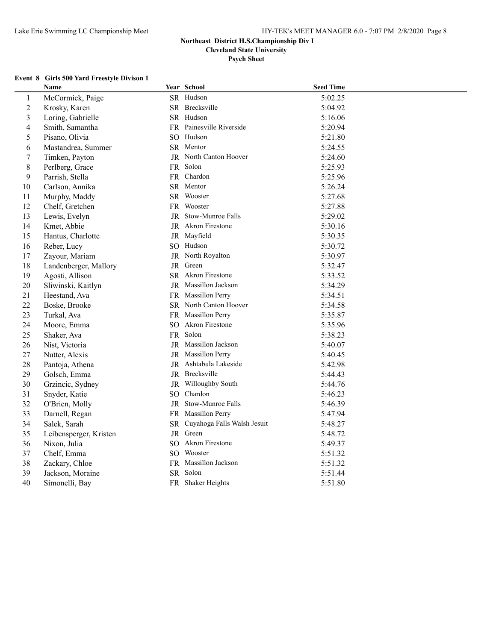**Psych Sheet**

#### **Event 8 Girls 500 Yard Freestyle Divison 1**

|                  | Name                   | Year School                    | <b>Seed Time</b> |  |
|------------------|------------------------|--------------------------------|------------------|--|
| $\mathbf{1}$     | McCormick, Paige       | SR Hudson                      | 5:02.25          |  |
| $\overline{2}$   | Krosky, Karen          | SR Brecksville                 | 5:04.92          |  |
| $\overline{3}$   | Loring, Gabrielle      | SR Hudson                      | 5:16.06          |  |
| 4                | Smith, Samantha        | FR Painesville Riverside       | 5:20.94          |  |
| 5                | Pisano, Olivia         | SO Hudson                      | 5:21.80          |  |
| 6                | Mastandrea, Summer     | SR Mentor                      | 5:24.55          |  |
| $\boldsymbol{7}$ | Timken, Payton         | JR North Canton Hoover         | 5:24.60          |  |
| 8                | Perlberg, Grace        | FR Solon                       | 5:25.93          |  |
| 9                | Parrish, Stella        | FR Chardon                     | 5:25.96          |  |
| $10\,$           | Carlson, Annika        | SR Mentor                      | 5:26.24          |  |
| 11               | Murphy, Maddy          | SR Wooster                     | 5:27.68          |  |
| 12               | Chelf, Gretchen        | FR Wooster                     | 5:27.88          |  |
| 13               | Lewis, Evelyn          | JR Stow-Munroe Falls           | 5:29.02          |  |
| 14               | Kmet, Abbie            | JR Akron Firestone             | 5:30.16          |  |
| 15               | Hantus, Charlotte      | JR Mayfield                    | 5:30.35          |  |
| 16               | Reber, Lucy            | SO Hudson                      | 5:30.72          |  |
| 17               | Zayour, Mariam         | JR North Royalton              | 5:30.97          |  |
| 18               | Landenberger, Mallory  | JR Green                       | 5:32.47          |  |
| 19               | Agosti, Allison        | SR Akron Firestone             | 5:33.52          |  |
| 20               | Sliwinski, Kaitlyn     | JR Massillon Jackson           | 5:34.29          |  |
| 21               | Heestand, Ava          | FR Massillon Perry             | 5:34.51          |  |
| 22               | Boske, Brooke          | SR North Canton Hoover         | 5:34.58          |  |
| 23               | Turkal, Ava            | FR Massillon Perry             | 5:35.87          |  |
| 24               | Moore, Emma            | SO Akron Firestone             | 5:35.96          |  |
| 25               | Shaker, Ava            | FR Solon                       | 5:38.23          |  |
| 26               | Nist, Victoria         | JR Massillon Jackson           | 5:40.07          |  |
| 27               | Nutter, Alexis         | JR Massillon Perry             | 5:40.45          |  |
| 28               | Pantoja, Athena        | JR Ashtabula Lakeside          | 5:42.98          |  |
| 29               | Golsch, Emma           | JR Brecksville                 | 5:44.43          |  |
| 30               | Grzincic, Sydney       | JR Willoughby South            | 5:44.76          |  |
| 31               | Snyder, Katie          | SO Chardon                     | 5:46.23          |  |
| 32               | O'Brien, Molly         | JR Stow-Munroe Falls           | 5:46.39          |  |
| 33               | Darnell, Regan         | FR Massillon Perry             | 5:47.94          |  |
| 34               | Salek, Sarah           | SR Cuyahoga Falls Walsh Jesuit | 5:48.27          |  |
| 35               | Leibensperger, Kristen | JR Green                       | 5:48.72          |  |
| 36               | Nixon, Julia           | SO Akron Firestone             | 5:49.37          |  |
| 37               | Chelf, Emma            | SO Wooster                     | 5:51.32          |  |
| 38               | Zackary, Chloe         | FR Massillon Jackson           | 5:51.32          |  |
| 39               | Jackson, Moraine       | SR Solon                       | 5:51.44          |  |
| 40               | Simonelli, Bay         | FR Shaker Heights              | 5:51.80          |  |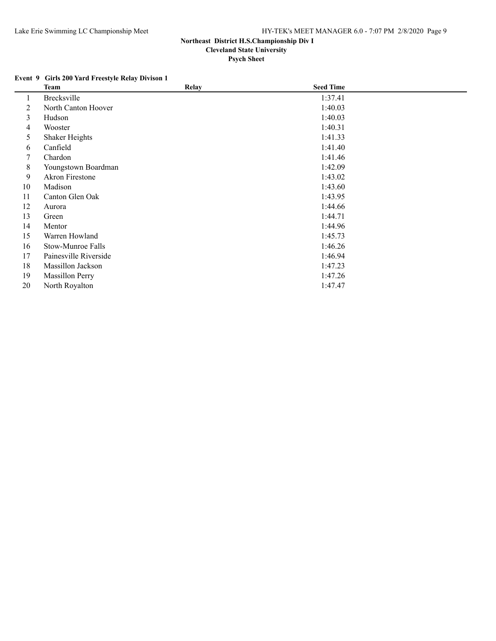## **Event 9 Girls 200 Yard Freestyle Relay Divison 1**

|    | Team                   | <b>Relay</b> | <b>Seed Time</b> |  |
|----|------------------------|--------------|------------------|--|
| 1  | <b>Brecksville</b>     |              | 1:37.41          |  |
| 2  | North Canton Hoover    |              | 1:40.03          |  |
| 3  | Hudson                 |              | 1:40.03          |  |
| 4  | Wooster                |              | 1:40.31          |  |
| 5  | <b>Shaker Heights</b>  |              | 1:41.33          |  |
| 6  | Canfield               |              | 1:41.40          |  |
| 7  | Chardon                |              | 1:41.46          |  |
| 8  | Youngstown Boardman    |              | 1:42.09          |  |
| 9  | Akron Firestone        |              | 1:43.02          |  |
| 10 | Madison                |              | 1:43.60          |  |
| 11 | Canton Glen Oak        |              | 1:43.95          |  |
| 12 | Aurora                 |              | 1:44.66          |  |
| 13 | Green                  |              | 1:44.71          |  |
| 14 | Mentor                 |              | 1:44.96          |  |
| 15 | Warren Howland         |              | 1:45.73          |  |
| 16 | Stow-Munroe Falls      |              | 1:46.26          |  |
| 17 | Painesville Riverside  |              | 1:46.94          |  |
| 18 | Massillon Jackson      |              | 1:47.23          |  |
| 19 | <b>Massillon Perry</b> |              | 1:47.26          |  |
| 20 | North Royalton         |              | 1:47.47          |  |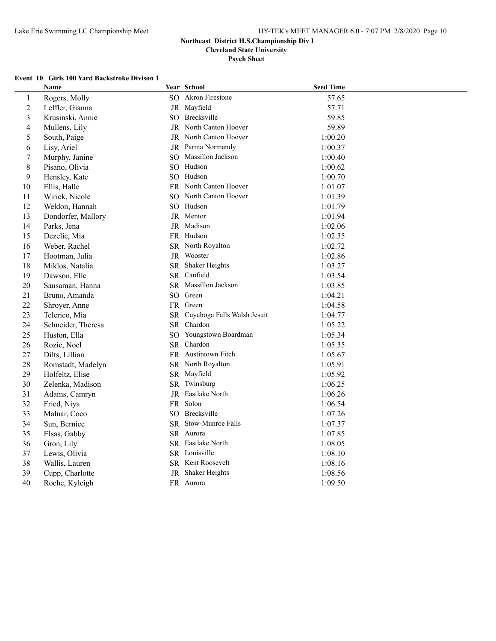**Cleveland State University**

**Psych Sheet**

#### **Event 10 Girls 100 Yard Backstroke Divison 1**

|                | <b>Name</b>        | Year School                    | <b>Seed Time</b> |
|----------------|--------------------|--------------------------------|------------------|
| $\mathbf{1}$   | Rogers, Molly      | SO Akron Firestone             | 57.65            |
| $\overline{2}$ | Leffler, Gianna    | JR Mayfield                    | 57.71            |
| $\mathfrak{Z}$ | Krusinski, Annie   | SO Brecksville                 | 59.85            |
| $\overline{4}$ | Mullens, Lily      | <b>JR</b> North Canton Hoover  | 59.89            |
| $\mathfrak s$  | South, Paige       | JR North Canton Hoover         | 1:00.20          |
| 6              | Lisy, Ariel        | JR Parma Normandy              | 1:00.37          |
| $\tau$         | Murphy, Janine     | SO Massillon Jackson           | 1:00.40          |
| 8              | Pisano, Olivia     | SO Hudson                      | 1:00.62          |
| 9              | Hensley, Kate      | SO Hudson                      | 1:00.70          |
| 10             | Ellis, Halle       | FR North Canton Hoover         | 1:01.07          |
| 11             | Wirick, Nicole     | SO North Canton Hoover         | 1:01.39          |
| 12             | Weldon, Hannah     | SO Hudson                      | 1:01.79          |
| 13             | Dondorfer, Mallory | JR Mentor                      | 1:01.94          |
| 14             | Parks, Jena        | JR Madison                     | 1:02.06          |
| 15             | Dezelic, Mia       | FR Hudson                      | 1:02.35          |
| 16             | Weber, Rachel      | SR North Royalton              | 1:02.72          |
| 17             | Hootman, Julia     | JR Wooster                     | 1:02.86          |
| 18             | Miklos, Natalia    | SR Shaker Heights              | 1:03.27          |
| 19             | Dawson, Elle       | SR Canfield                    | 1:03.54          |
| 20             | Sausaman, Hanna    | SR Massillon Jackson           | 1:03.85          |
| 21             | Bruno, Amanda      | SO Green                       | 1:04.21          |
| 22             | Shroyer, Anne      | FR Green                       | 1:04.58          |
| 23             | Telerico, Mia      | SR Cuyahoga Falls Walsh Jesuit | 1:04.77          |
| 24             | Schneider, Theresa | SR Chardon                     | 1:05.22          |
| 25             | Huston, Ella       | SO Youngstown Boardman         | 1:05.34          |
| 26             | Rozic, Noel        | SR Chardon                     | 1:05.35          |
| 27             | Dilts, Lillian     | FR Austintown Fitch            | 1:05.67          |
| 28             | Romstadt, Madelyn  | SR North Royalton              | 1:05.91          |
| 29             | Holfeltz, Elise    | SR Mayfield                    | 1:05.92          |
| 30             | Zelenka, Madison   | SR Twinsburg                   | 1:06.25          |
| 31             | Adams, Camryn      | JR Eastlake North              | 1:06.26          |
| 32             | Fried, Niya        | FR Solon                       | 1:06.54          |
| 33             | Malnar, Coco       | SO Brecksville                 | 1:07.26          |
| 34             | Sun, Bernice       | SR Stow-Munroe Falls           | 1:07.37          |
| 35             | Elsas, Gabby       | SR Aurora                      | 1:07.85          |
| 36             | Gron, Lily         | SR Eastlake North              | 1:08.05          |
| 37             | Lewis, Olivia      | SR Louisville                  | 1:08.10          |
| 38             | Wallis, Lauren     | SR Kent Roosevelt              | 1:08.16          |
| 39             | Cupp, Charlotte    | JR Shaker Heights              | 1:08.56          |
| 40             | Roche, Kyleigh     | FR Aurora                      | 1:09.50          |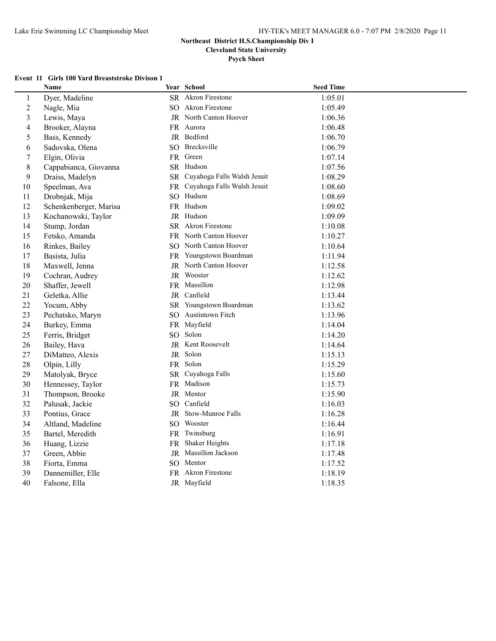**Psych Sheet**

## **Event 11 Girls 100 Yard Breaststroke Divison 1**

|                          | Name                   |                 | Year School                    | <b>Seed Time</b> |  |
|--------------------------|------------------------|-----------------|--------------------------------|------------------|--|
| $\mathbf{1}$             | Dyer, Madeline         |                 | SR Akron Firestone             | 1:05.01          |  |
| $\overline{2}$           | Nagle, Mia             |                 | SO Akron Firestone             | 1:05.49          |  |
| 3                        | Lewis, Maya            |                 | JR North Canton Hoover         | 1:06.36          |  |
| $\overline{\mathcal{L}}$ | Brooker, Alayna        |                 | FR Aurora                      | 1:06.48          |  |
| 5                        | Bass, Kennedy          |                 | JR Bedford                     | 1:06.70          |  |
| 6                        | Sadovska, Olena        |                 | SO Brecksville                 | 1:06.79          |  |
| 7                        | Elgin, Olivia          |                 | FR Green                       | 1:07.14          |  |
| 8                        | Cappabianca, Giovanna  |                 | SR Hudson                      | 1:07.56          |  |
| 9                        | Draiss, Madelyn        |                 | SR Cuyahoga Falls Walsh Jesuit | 1:08.29          |  |
| 10                       | Speelman, Ava          |                 | FR Cuyahoga Falls Walsh Jesuit | 1:08.60          |  |
| 11                       | Drobnjak, Mija         |                 | SO Hudson                      | 1:08.69          |  |
| 12                       | Schenkenberger, Marisa |                 | FR Hudson                      | 1:09.02          |  |
| 13                       | Kochanowski, Taylor    |                 | JR Hudson                      | 1:09.09          |  |
| 14                       | Stump, Jordan          |                 | SR Akron Firestone             | 1:10.08          |  |
| 15                       | Fetsko, Amanda         |                 | FR North Canton Hoover         | 1:10.27          |  |
| 16                       | Rinkes, Bailey         |                 | SO North Canton Hoover         | 1:10.64          |  |
| 17                       | Basista, Julia         |                 | FR Youngstown Boardman         | 1:11.94          |  |
| 18                       | Maxwell, Jenna         |                 | JR North Canton Hoover         | 1:12.58          |  |
| 19                       | Cochran, Audrey        |                 | JR Wooster                     | 1:12.62          |  |
| 20                       | Shaffer, Jewell        |                 | FR Massillon                   | 1:12.98          |  |
| 21                       | Geletka, Allie         |                 | JR Canfield                    | 1:13.44          |  |
| 22                       | Yocum, Abby            |                 | SR Youngstown Boardman         | 1:13.62          |  |
| 23                       | Pechatsko, Maryn       |                 | SO Austintown Fitch            | 1:13.96          |  |
| 24                       | Burkey, Emma           |                 | FR Mayfield                    | 1:14.04          |  |
| 25                       | Ferris, Bridget        |                 | SO Solon                       | 1:14.20          |  |
| 26                       | Bailey, Hava           |                 | JR Kent Roosevelt              | 1:14.64          |  |
| 27                       | DiMatteo, Alexis       |                 | JR Solon                       | 1:15.13          |  |
| 28                       | Olpin, Lilly           |                 | FR Solon                       | 1:15.29          |  |
| 29                       | Matolyak, Bryce        |                 | SR Cuyahoga Falls              | 1:15.60          |  |
| 30                       | Hennessey, Taylor      |                 | FR Madison                     | 1:15.73          |  |
| 31                       | Thompson, Brooke       |                 | JR Mentor                      | 1:15.90          |  |
| 32                       | Palusak, Jackie        | SO <sub>-</sub> | Canfield                       | 1:16.03          |  |
| 33                       | Pontius, Grace         |                 | JR Stow-Munroe Falls           | 1:16.28          |  |
| 34                       | Altland, Madeline      |                 | SO Wooster                     | 1:16.44          |  |
| 35                       | Bartel, Meredith       |                 | FR Twinsburg                   | 1:16.91          |  |
| 36                       | Huang, Lizzie          |                 | FR Shaker Heights              | 1:17.18          |  |
| 37                       | Green, Abbie           |                 | JR Massillon Jackson           | 1:17.48          |  |
| 38                       | Fiorta, Emma           |                 | SO Mentor                      | 1:17.52          |  |
| 39                       | Dannemiller, Elle      |                 | FR Akron Firestone             | 1:18.19          |  |
| 40                       | Falsone, Ella          |                 | JR Mayfield                    | 1:18.35          |  |